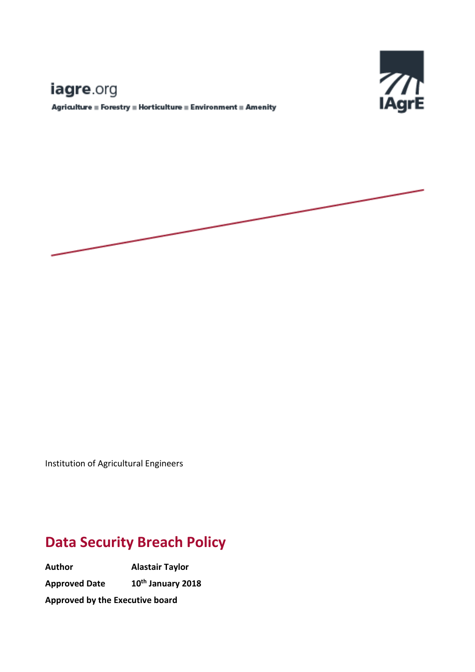# Е

# iagre.org

 ${\Large \bf Agriauture \equiv Forestry \equiv Horticulture \equiv Environment \equiv Amerify }$ 



Institution of Agricultural Engineers

# **Data Security Breach Policy**

**Author Alastair Taylor Approved Date 10th January 2018 Approved by the Executive board**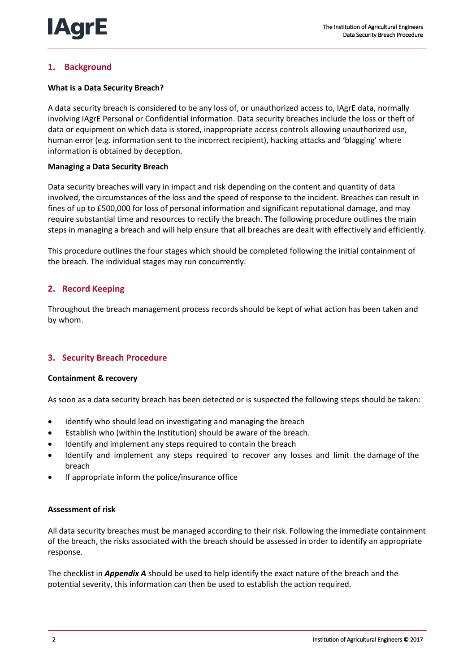# **1. Background**

## **What is a Data Security Breach?**

A data security breach is considered to be any loss of, or unauthorized access to, IAgrE data, normally involving IAgrE Personal or Confidential information. Data security breaches include the loss or theft of data or equipment on which data is stored, inappropriate access controls allowing unauthorized use, human error (e.g. information sent to the incorrect recipient), hacking attacks and 'blagging' where information is obtained by deception.

#### **Managing a Data Security Breach**

Data security breaches will vary in impact and risk depending on the content and quantity of data involved, the circumstances of the loss and the speed of response to the incident. Breaches can result in fines of up to £500,000 for loss of personal information and significant reputational damage, and may require substantial time and resources to rectify the breach. The following procedure outlines the main steps in managing a breach and will help ensure that all breaches are dealt with effectively and efficiently.

This procedure outlines the four stages which should be completed following the initial containment of the breach. The individual stages may run concurrently.

# **2. Record Keeping**

Throughout the breach management process records should be kept of what action has been taken and by whom.

# **3. Security Breach Procedure**

#### **Containment & recovery**

As soon as a data security breach has been detected or is suspected the following steps should be taken:

- Identify who should lead on investigating and managing the breach
- Establish who (within the Institution) should be aware of the breach.
- Identify and implement any steps required to contain the breach
- Identify and implement any steps required to recover any losses and limit the damage of the breach
- If appropriate inform the police/insurance office

#### **Assessment of risk**

All data security breaches must be managed according to their risk. Following the immediate containment of the breach, the risks associated with the breach should be assessed in order to identify an appropriate response.

The checklist in *Appendix A* should be used to help identify the exact nature of the breach and the potential severity, this information can then be used to establish the action required.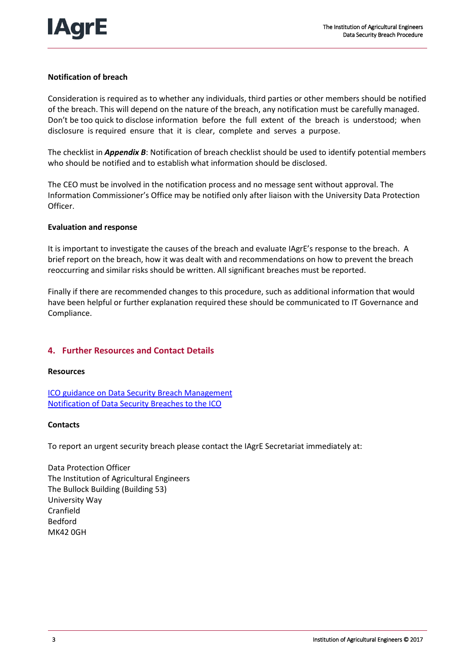# **Notification of breach**

Consideration is required as to whether any individuals, third parties or other members should be notified of the breach. This will depend on the nature of the breach, any notification must be carefully managed. Don't be too quick to disclose information before the full extent of the breach is understood; when disclosure is required ensure that it is clear, complete and serves a purpose.

The checklist in *Appendix B*: Notification of breach checklist should be used to identify potential members who should be notified and to establish what information should be disclosed.

The CEO must be involved in the notification process and no message sent without approval. The Information Commissioner's Office may be notified only after liaison with the University Data Protection Officer.

#### **Evaluation and response**

It is important to investigate the causes of the breach and evaluate IAgrE's response to the breach. A brief report on the breach, how it was dealt with and recommendations on how to prevent the breach reoccurring and similar risks should be written. All significant breaches must be reported.

Finally if there are recommended changes to this procedure, such as additional information that would have been helpful or further explanation required these should be communicated to IT Governance and Compliance.

# **4. Further Resources and Contact Details**

#### **Resources**

[ICO guidance on Data Security Breach Management](http://www.ico.gov.uk/for_organisations/data_protection/~/media/documents/library/Data_Protection/Practical_application/guidance_on_data_security_breach_management.ashx) [Notification of Data Security Breaches to the ICO](http://www.ico.gov.uk/for_organisations/data_protection/the_guide/~/media/documents/library/Data_Protection/Practical_application/breach_reporting.ashx)

#### **Contacts**

To report an urgent security breach please contact the IAgrE Secretariat immediately at:

Data Protection Officer The Institution of Agricultural Engineers The Bullock Building (Building 53) University Way Cranfield Bedford MK42 0GH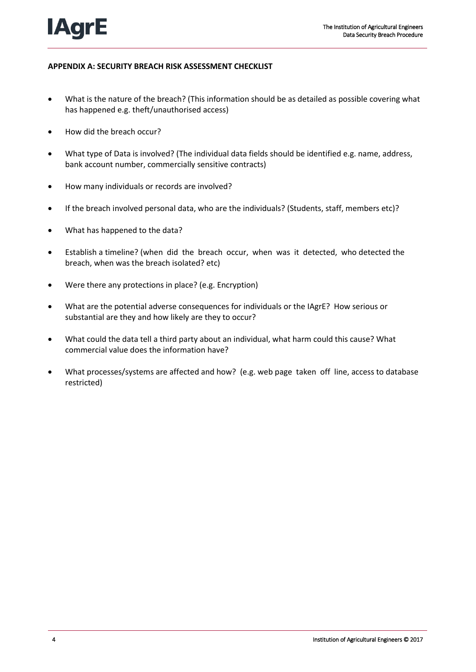# **APPENDIX A: SECURITY BREACH RISK ASSESSMENT CHECKLIST**

- What is the nature of the breach? (This information should be as detailed as possible covering what has happened e.g. theft/unauthorised access)
- How did the breach occur?
- What type of Data is involved? (The individual data fields should be identified e.g. name, address, bank account number, commercially sensitive contracts)
- How many individuals or records are involved?
- If the breach involved personal data, who are the individuals? (Students, staff, members etc)?
- What has happened to the data?
- Establish a timeline? (when did the breach occur, when was it detected, who detected the breach, when was the breach isolated? etc)
- Were there any protections in place? (e.g. Encryption)
- What are the potential adverse consequences for individuals or the IAgrE? How serious or substantial are they and how likely are they to occur?
- What could the data tell a third party about an individual, what harm could this cause? What commercial value does the information have?
- What processes/systems are affected and how? (e.g. web page taken off line, access to database restricted)